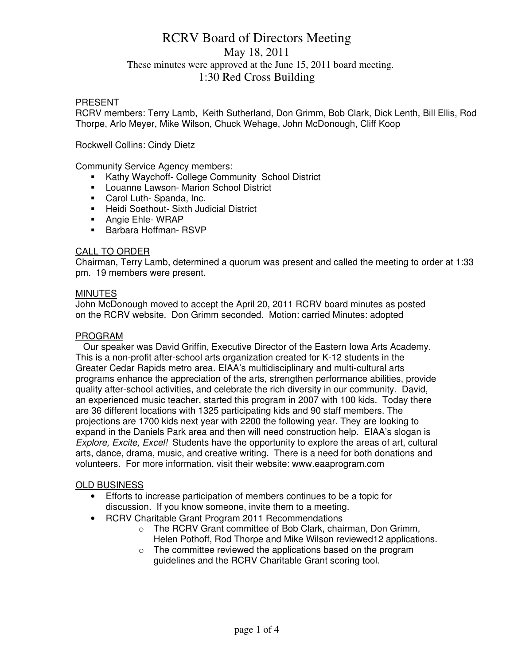# RCRV Board of Directors Meeting May 18, 2011 These minutes were approved at the June 15, 2011 board meeting. 1:30 Red Cross Building

### PRESENT

RCRV members: Terry Lamb, Keith Sutherland, Don Grimm, Bob Clark, Dick Lenth, Bill Ellis, Rod Thorpe, Arlo Meyer, Mike Wilson, Chuck Wehage, John McDonough, Cliff Koop

Rockwell Collins: Cindy Dietz

Community Service Agency members:

- **Kathy Waychoff- College Community School District**
- **-** Louanne Lawson- Marion School District
- **Carol Luth-Spanda, Inc.**
- **Heidi Soethout- Sixth Judicial District**
- **Angie Ehle- WRAP**
- **Barbara Hoffman- RSVP**

### CALL TO ORDER

Chairman, Terry Lamb, determined a quorum was present and called the meeting to order at 1:33 pm. 19 members were present.

#### **MINUTES**

John McDonough moved to accept the April 20, 2011 RCRV board minutes as posted on the RCRV website. Don Grimm seconded. Motion: carried Minutes: adopted

#### PROGRAM

 Our speaker was David Griffin, Executive Director of the Eastern Iowa Arts Academy. This is a non-profit after-school arts organization created for K-12 students in the Greater Cedar Rapids metro area. EIAA's multidisciplinary and multi-cultural arts programs enhance the appreciation of the arts, strengthen performance abilities, provide quality after-school activities, and celebrate the rich diversity in our community. David, an experienced music teacher, started this program in 2007 with 100 kids. Today there are 36 different locations with 1325 participating kids and 90 staff members. The projections are 1700 kids next year with 2200 the following year. They are looking to expand in the Daniels Park area and then will need construction help. EIAA's slogan is Explore, Excite, Excel! Students have the opportunity to explore the areas of art, cultural arts, dance, drama, music, and creative writing. There is a need for both donations and volunteers. For more information, visit their website: www.eaaprogram.com

### OLD BUSINESS

- Efforts to increase participation of members continues to be a topic for discussion. If you know someone, invite them to a meeting.
- RCRV Charitable Grant Program 2011 Recommendations
	- o The RCRV Grant committee of Bob Clark, chairman, Don Grimm, Helen Pothoff, Rod Thorpe and Mike Wilson reviewed12 applications.
	- $\circ$  The committee reviewed the applications based on the program guidelines and the RCRV Charitable Grant scoring tool.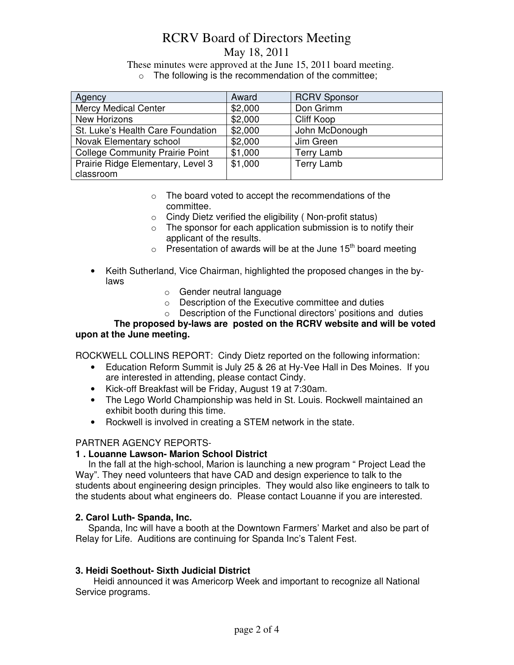# RCRV Board of Directors Meeting May 18, 2011

These minutes were approved at the June 15, 2011 board meeting.

o The following is the recommendation of the committee;

| Agency                                 | Award   | <b>RCRV Sponsor</b> |
|----------------------------------------|---------|---------------------|
| <b>Mercy Medical Center</b>            | \$2,000 | Don Grimm           |
| New Horizons                           | \$2,000 | Cliff Koop          |
| St. Luke's Health Care Foundation      | \$2,000 | John McDonough      |
| Novak Elementary school                | \$2,000 | Jim Green           |
| <b>College Community Prairie Point</b> | \$1,000 | Terry Lamb          |
| Prairie Ridge Elementary, Level 3      | \$1,000 | Terry Lamb          |
| classroom                              |         |                     |

- o The board voted to accept the recommendations of the committee.
- o Cindy Dietz verified the eligibility ( Non-profit status)
- o The sponsor for each application submission is to notify their applicant of the results.
- $\circ$  Presentation of awards will be at the June 15<sup>th</sup> board meeting
- Keith Sutherland, Vice Chairman, highlighted the proposed changes in the bylaws
	- o Gender neutral language
	- o Description of the Executive committee and duties
	- o Description of the Functional directors' positions and duties

# **The proposed by-laws are posted on the RCRV website and will be voted upon at the June meeting.**

ROCKWELL COLLINS REPORT: Cindy Dietz reported on the following information:

- Education Reform Summit is July 25 & 26 at Hy-Vee Hall in Des Moines. If you are interested in attending, please contact Cindy.
- Kick-off Breakfast will be Friday, August 19 at 7:30am.
- The Lego World Championship was held in St. Louis. Rockwell maintained an exhibit booth during this time.
- Rockwell is involved in creating a STEM network in the state.

# PARTNER AGENCY REPORTS-

### **1 . Louanne Lawson- Marion School District**

 In the fall at the high-school, Marion is launching a new program " Project Lead the Way". They need volunteers that have CAD and design experience to talk to the students about engineering design principles. They would also like engineers to talk to the students about what engineers do. Please contact Louanne if you are interested.

### **2. Carol Luth- Spanda, Inc.**

 Spanda, Inc will have a booth at the Downtown Farmers' Market and also be part of Relay for Life. Auditions are continuing for Spanda Inc's Talent Fest.

### **3. Heidi Soethout- Sixth Judicial District**

Heidi announced it was Americorp Week and important to recognize all National Service programs.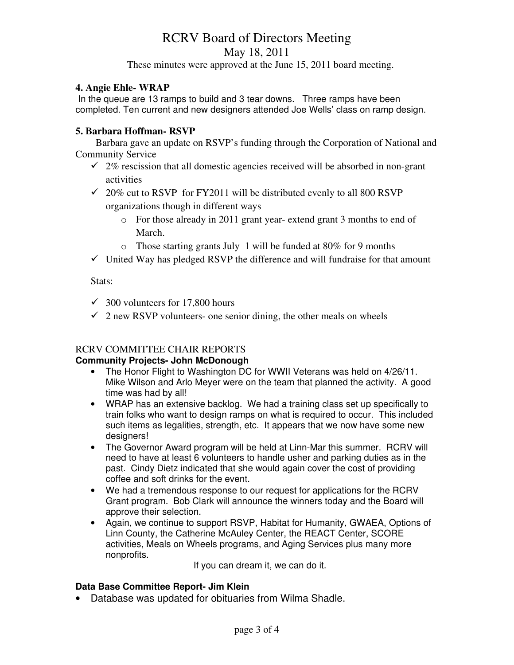# RCRV Board of Directors Meeting

May 18, 2011

These minutes were approved at the June 15, 2011 board meeting.

# **4. Angie Ehle- WRAP**

 In the queue are 13 ramps to build and 3 tear downs. Three ramps have been completed. Ten current and new designers attended Joe Wells' class on ramp design.

# **5. Barbara Hoffman- RSVP**

 Barbara gave an update on RSVP's funding through the Corporation of National and Community Service

- $\checkmark$  2% rescission that all domestic agencies received will be absorbed in non-grant activities
- $\checkmark$  20% cut to RSVP for FY2011 will be distributed evenly to all 800 RSVP organizations though in different ways
	- o For those already in 2011 grant year- extend grant 3 months to end of March.
	- o Those starting grants July 1 will be funded at 80% for 9 months

- United Way has pledged RSVP the difference and will fundraise for that amount

Stats:

- $\checkmark$  300 volunteers for 17,800 hours
- $\checkmark$  2 new RSVP volunteers- one senior dining, the other meals on wheels

# RCRV COMMITTEE CHAIR REPORTS

### **Community Projects- John McDonough**

- The Honor Flight to Washington DC for WWII Veterans was held on 4/26/11. Mike Wilson and Arlo Meyer were on the team that planned the activity. A good time was had by all!
- WRAP has an extensive backlog. We had a training class set up specifically to train folks who want to design ramps on what is required to occur. This included such items as legalities, strength, etc. It appears that we now have some new designers!
- The Governor Award program will be held at Linn-Mar this summer. RCRV will need to have at least 6 volunteers to handle usher and parking duties as in the past. Cindy Dietz indicated that she would again cover the cost of providing coffee and soft drinks for the event.
- We had a tremendous response to our request for applications for the RCRV Grant program. Bob Clark will announce the winners today and the Board will approve their selection.
- Again, we continue to support RSVP, Habitat for Humanity, GWAEA, Options of Linn County, the Catherine McAuley Center, the REACT Center, SCORE activities, Meals on Wheels programs, and Aging Services plus many more nonprofits.

If you can dream it, we can do it.

### **Data Base Committee Report- Jim Klein**

• Database was updated for obituaries from Wilma Shadle.